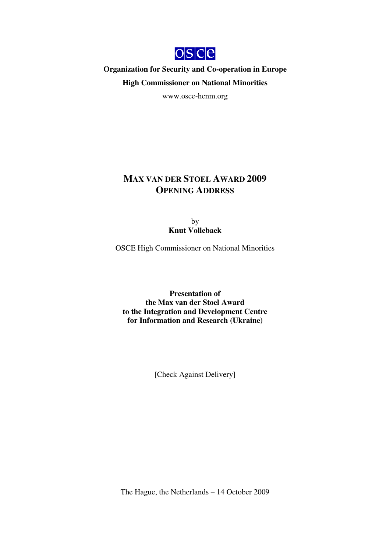

**Organization for Security and Co-operation in Europe High Commissioner on National Minorities**

www.osce-hcnm.org

## **MAX VAN DER STOEL AWARD 2009 OPENING ADDRESS**

by **Knut Vollebaek**

OSCE High Commissioner on National Minorities

**Presentation of the Max van der Stoel Award to the Integration and Development Centre for Information and Research (Ukraine)**

[Check Against Delivery]

The Hague, the Netherlands – 14 October 2009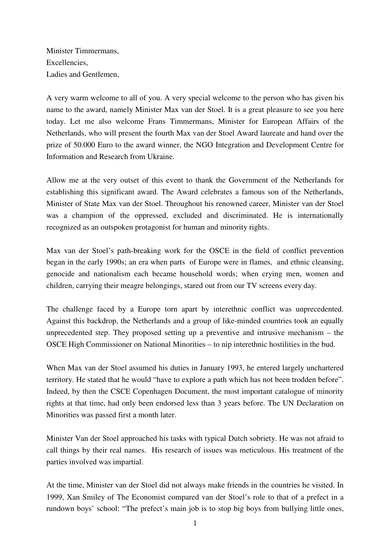Minister Timmermans, Excellencies, Ladies and Gentlemen,

A very warm welcome to all of you. A very special welcome to the person who has given his name to the award, namely Minister Max van der Stoel. It is a great pleasure to see you here today. Let me also welcome Frans Timmermans, Minister for European Affairs of the Netherlands, who will present the fourth Max van der Stoel Award laureate and hand over the prize of 50.000 Euro to the award winner, the NGO Integration and Development Centre for Information and Research from Ukraine.

Allow me at the very outset of this event to thank the Government of the Netherlands for establishing this significant award. The Award celebrates a famous son of the Netherlands, Minister of State Max van der Stoel. Throughout his renowned career, Minister van der Stoel was a champion of the oppressed, excluded and discriminated. He is internationally recognized as an outspoken protagonist for human and minority rights.

Max van der Stoel's path-breaking work for the OSCE in the field of conflict prevention began in the early 1990s; an era when parts of Europe were in flames, and ethnic cleansing, genocide and nationalism each became household words; when crying men, women and children, carrying their meagre belongings, stared out from our TV screens every day.

The challenge faced by a Europe torn apart by interethnic conflict was unprecedented. Against this backdrop, the Netherlands and a group of like-minded countries took an equally unprecedented step. They proposed setting up a preventive and intrusive mechanism – the OSCE High Commissioner on National Minorities – to nip interethnic hostilities in the bud.

When Max van der Stoel assumed his duties in January 1993, he entered largely unchartered territory. He stated that he would "have to explore a path which has not been trodden before". Indeed, by then the CSCE Copenhagen Document, the most important catalogue of minority rights at that time, had only been endorsed less than 3 years before. The UN Declaration on Minorities was passed first a month later.

Minister Van der Stoel approached his tasks with typical Dutch sobriety. He was not afraid to call things by their real names. His research of issues was meticulous. His treatment of the parties involved was impartial.

At the time, Minister van der Stoel did not always make friends in the countries he visited. In 1999, Xan Smiley of The Economist compared van der Stoel's role to that of a prefect in a rundown boys' school: "The prefect's main job is to stop big boys from bullying little ones,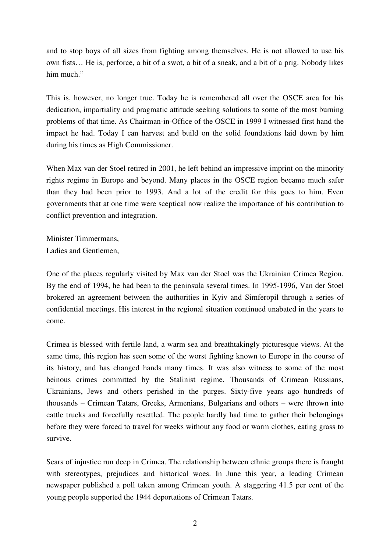and to stop boys of all sizes from fighting among themselves. He is not allowed to use his own fists… He is, perforce, a bit of a swot, a bit of a sneak, and a bit of a prig. Nobody likes him much."

This is, however, no longer true. Today he is remembered all over the OSCE area for his dedication, impartiality and pragmatic attitude seeking solutions to some of the most burning problems of that time. As Chairman-in-Office of the OSCE in 1999 I witnessed first hand the impact he had. Today I can harvest and build on the solid foundations laid down by him during his times as High Commissioner.

When Max van der Stoel retired in 2001, he left behind an impressive imprint on the minority rights regime in Europe and beyond. Many places in the OSCE region became much safer than they had been prior to 1993. And a lot of the credit for this goes to him. Even governments that at one time were sceptical now realize the importance of his contribution to conflict prevention and integration.

Minister Timmermans, Ladies and Gentlemen,

One of the places regularly visited by Max van der Stoel was the Ukrainian Crimea Region. By the end of 1994, he had been to the peninsula several times. In 1995-1996, Van der Stoel brokered an agreement between the authorities in Kyiv and Simferopil through a series of confidential meetings. His interest in the regional situation continued unabated in the years to come.

Crimea is blessed with fertile land, a warm sea and breathtakingly picturesque views. At the same time, this region has seen some of the worst fighting known to Europe in the course of its history, and has changed hands many times. It was also witness to some of the most heinous crimes committed by the Stalinist regime. Thousands of Crimean Russians, Ukrainians, Jews and others perished in the purges. Sixty-five years ago hundreds of thousands – Crimean Tatars, Greeks, Armenians, Bulgarians and others – were thrown into cattle trucks and forcefully resettled. The people hardly had time to gather their belongings before they were forced to travel for weeks without any food or warm clothes, eating grass to survive.

Scars of injustice run deep in Crimea. The relationship between ethnic groups there is fraught with stereotypes, prejudices and historical woes. In June this year, a leading Crimean newspaper published a poll taken among Crimean youth. A staggering 41.5 per cent of the young people supported the 1944 deportations of Crimean Tatars.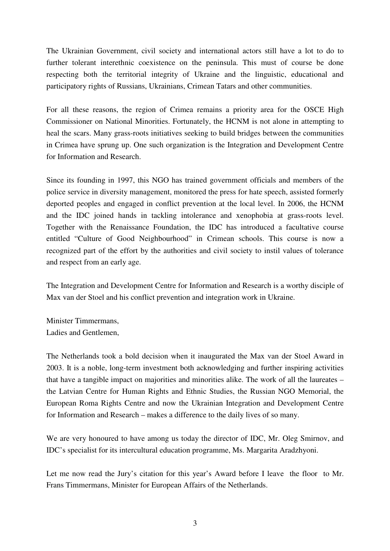The Ukrainian Government, civil society and international actors still have a lot to do to further tolerant interethnic coexistence on the peninsula. This must of course be done respecting both the territorial integrity of Ukraine and the linguistic, educational and participatory rights of Russians, Ukrainians, Crimean Tatars and other communities.

For all these reasons, the region of Crimea remains a priority area for the OSCE High Commissioner on National Minorities. Fortunately, the HCNM is not alone in attempting to heal the scars. Many grass-roots initiatives seeking to build bridges between the communities in Crimea have sprung up. One such organization is the Integration and Development Centre for Information and Research.

Since its founding in 1997, this NGO has trained government officials and members of the police service in diversity management, monitored the press for hate speech, assisted formerly deported peoples and engaged in conflict prevention at the local level. In 2006, the HCNM and the IDC joined hands in tackling intolerance and xenophobia at grass-roots level. Together with the Renaissance Foundation, the IDC has introduced a facultative course entitled "Culture of Good Neighbourhood" in Crimean schools. This course is now a recognized part of the effort by the authorities and civil society to instil values of tolerance and respect from an early age.

The Integration and Development Centre for Information and Research is a worthy disciple of Max van der Stoel and his conflict prevention and integration work in Ukraine.

Minister Timmermans, Ladies and Gentlemen,

The Netherlands took a bold decision when it inaugurated the Max van der Stoel Award in 2003. It is a noble, long-term investment both acknowledging and further inspiring activities that have a tangible impact on majorities and minorities alike. The work of all the laureates – the Latvian Centre for Human Rights and Ethnic Studies, the Russian NGO Memorial, the European Roma Rights Centre and now the Ukrainian Integration and Development Centre for Information and Research – makes a difference to the daily lives of so many.

We are very honoured to have among us today the director of IDC, Mr. Oleg Smirnov, and IDC's specialist for its intercultural education programme, Ms. Margarita Aradzhyoni.

Let me now read the Jury's citation for this year's Award before I leave the floor to Mr. Frans Timmermans, Minister for European Affairs of the Netherlands.